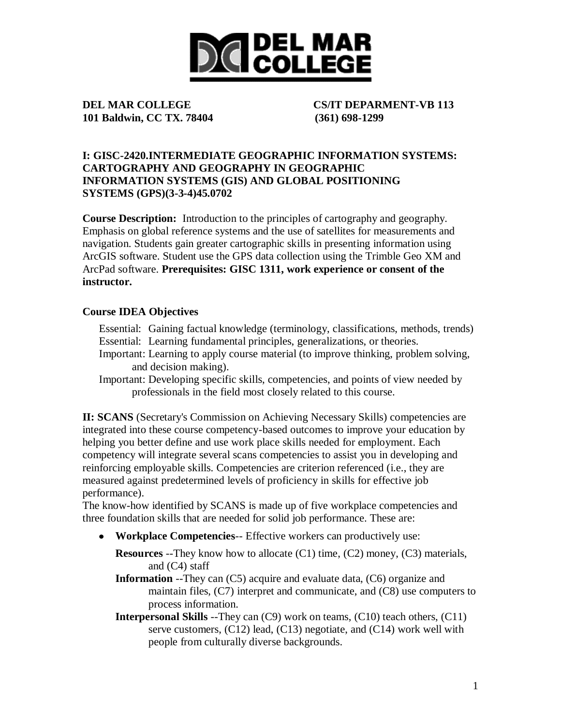

**101 Baldwin, CC TX. 78404 (361) 698-1299**

**DEL MAR COLLEGE CS/IT DEPARMENT-VB 113**

#### **I: GISC-2420.INTERMEDIATE GEOGRAPHIC INFORMATION SYSTEMS: CARTOGRAPHY AND GEOGRAPHY IN GEOGRAPHIC INFORMATION SYSTEMS (GIS) AND GLOBAL POSITIONING SYSTEMS (GPS)(3-3-4)45.0702**

**Course Description:** Introduction to the principles of cartography and geography. Emphasis on global reference systems and the use of satellites for measurements and navigation. Students gain greater cartographic skills in presenting information using ArcGIS software. Student use the GPS data collection using the Trimble Geo XM and ArcPad software. **Prerequisites: GISC 1311, work experience or consent of the instructor.**

#### **Course IDEA Objectives**

- Essential: Gaining factual knowledge (terminology, classifications, methods, trends) Essential: Learning fundamental principles, generalizations, or theories.
- Important: Learning to apply course material (to improve thinking, problem solving, and decision making).
- Important: Developing specific skills, competencies, and points of view needed by professionals in the field most closely related to this course.

**II: SCANS** (Secretary's Commission on Achieving Necessary Skills) competencies are integrated into these course competency-based outcomes to improve your education by helping you better define and use work place skills needed for employment. Each competency will integrate several scans competencies to assist you in developing and reinforcing employable skills. Competencies are criterion referenced (i.e., they are measured against predetermined levels of proficiency in skills for effective job performance).

The know-how identified by SCANS is made up of five workplace competencies and three foundation skills that are needed for solid job performance. These are:

**Workplace Competencies**-- Effective workers can productively use:

**Resources** --They know how to allocate (C1) time, (C2) money, (C3) materials, and (C4) staff

**Information** --They can (C5) acquire and evaluate data, (C6) organize and maintain files, (C7) interpret and communicate, and (C8) use computers to process information.

**Interpersonal Skills** --They can (C9) work on teams, (C10) teach others, (C11) serve customers,  $(C12)$  lead,  $(C13)$  negotiate, and  $(C14)$  work well with people from culturally diverse backgrounds.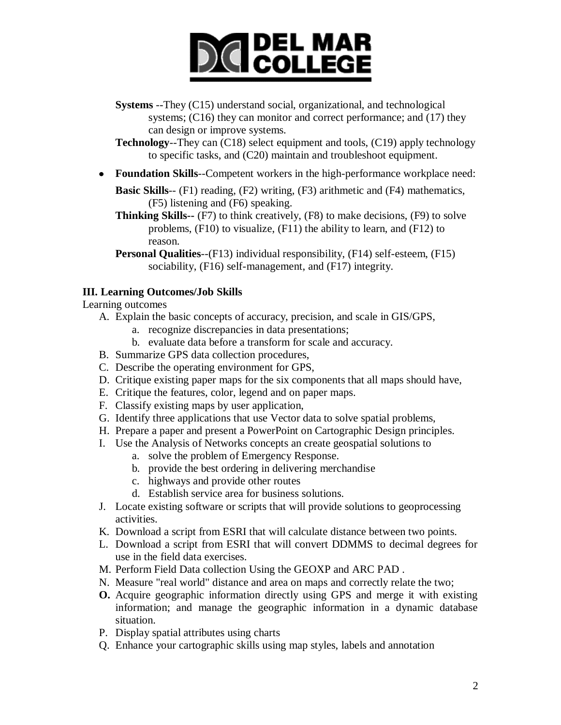# **DICI COLLEGE**

**Systems** --They (C15) understand social, organizational, and technological systems; (C16) they can monitor and correct performance; and (17) they can design or improve systems.

**Technology**--They can (C18) select equipment and tools, (C19) apply technology to specific tasks, and (C20) maintain and troubleshoot equipment.

**Foundation Skills**--Competent workers in the high-performance workplace need:

**Basic Skills**-- (F1) reading, (F2) writing, (F3) arithmetic and (F4) mathematics, (F5) listening and (F6) speaking.

**Thinking Skills--** (F7) to think creatively, (F8) to make decisions, (F9) to solve problems, (F10) to visualize, (F11) the ability to learn, and (F12) to reason.

**Personal Qualities**--(F13) individual responsibility, (F14) self-esteem, (F15) sociability, (F16) self-management, and (F17) integrity.

#### **III. Learning Outcomes/Job Skills**

Learning outcomes

- A. Explain the basic concepts of accuracy, precision, and scale in GIS/GPS,
	- a. recognize discrepancies in data presentations;
	- b. evaluate data before a transform for scale and accuracy.
- B. Summarize GPS data collection procedures,
- C. Describe the operating environment for GPS,
- D. Critique existing paper maps for the six components that all maps should have,
- E. Critique the features, color, legend and on paper maps.
- F. Classify existing maps by user application,
- G. Identify three applications that use Vector data to solve spatial problems,
- H. Prepare a paper and present a PowerPoint on Cartographic Design principles.
- I. Use the Analysis of Networks concepts an create geospatial solutions to
	- a. solve the problem of Emergency Response.
	- b. provide the best ordering in delivering merchandise
	- c. highways and provide other routes
	- d. Establish service area for business solutions.
- J. Locate existing software or scripts that will provide solutions to geoprocessing activities.
- K. Download a script from ESRI that will calculate distance between two points.
- L. Download a script from ESRI that will convert DDMMS to decimal degrees for use in the field data exercises.
- M. Perform Field Data collection Using the GEOXP and ARC PAD .
- N. Measure "real world" distance and area on maps and correctly relate the two;
- **O.** Acquire geographic information directly using GPS and merge it with existing information; and manage the geographic information in a dynamic database situation.
- P. Display spatial attributes using charts
- Q. Enhance your cartographic skills using map styles, labels and annotation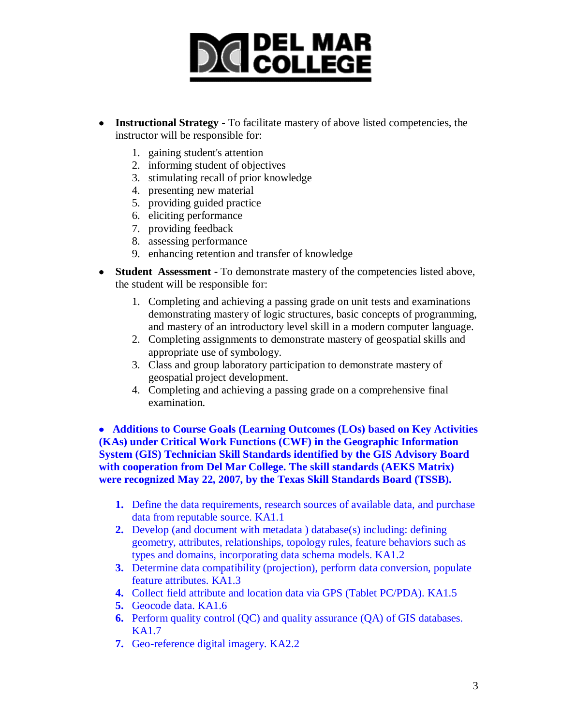### **DICIDEL MAR**

- **Instructional Strategy -** To facilitate mastery of above listed competencies, the instructor will be responsible for:
	- 1. gaining student's attention
	- 2. informing student of objectives
	- 3. stimulating recall of prior knowledge
	- 4. presenting new material
	- 5. providing guided practice
	- 6. eliciting performance
	- 7. providing feedback
	- 8. assessing performance
	- 9. enhancing retention and transfer of knowledge
- **Student Assessment -** To demonstrate mastery of the competencies listed above, the student will be responsible for:
	- 1. Completing and achieving a passing grade on unit tests and examinations demonstrating mastery of logic structures, basic concepts of programming, and mastery of an introductory level skill in a modern computer language.
	- 2. Completing assignments to demonstrate mastery of geospatial skills and appropriate use of symbology.
	- 3. Class and group laboratory participation to demonstrate mastery of geospatial project development.
	- 4. Completing and achieving a passing grade on a comprehensive final examination.

 **Additions to Course Goals (Learning Outcomes (LOs) based on Key Activities (KAs) under Critical Work Functions (CWF) in the Geographic Information System (GIS) Technician Skill Standards identified by the GIS Advisory Board with cooperation from Del Mar College. The skill standards (AEKS Matrix) were recognized May 22, 2007, by the Texas Skill Standards Board (TSSB).** 

- **1.** Define the data requirements, research sources of available data, and purchase data from reputable source. KA1.1
- **2.** Develop (and document with metadata ) database(s) including: defining geometry, attributes, relationships, topology rules, feature behaviors such as types and domains, incorporating data schema models. KA1.2
- **3.** Determine data compatibility (projection), perform data conversion, populate feature attributes. KA1.3
- **4.** Collect field attribute and location data via GPS (Tablet PC/PDA). KA1.5
- **5.** Geocode data. KA1.6
- **6.** Perform quality control (QC) and quality assurance (QA) of GIS databases. KA1.7
- **7.** Geo-reference digital imagery. KA2.2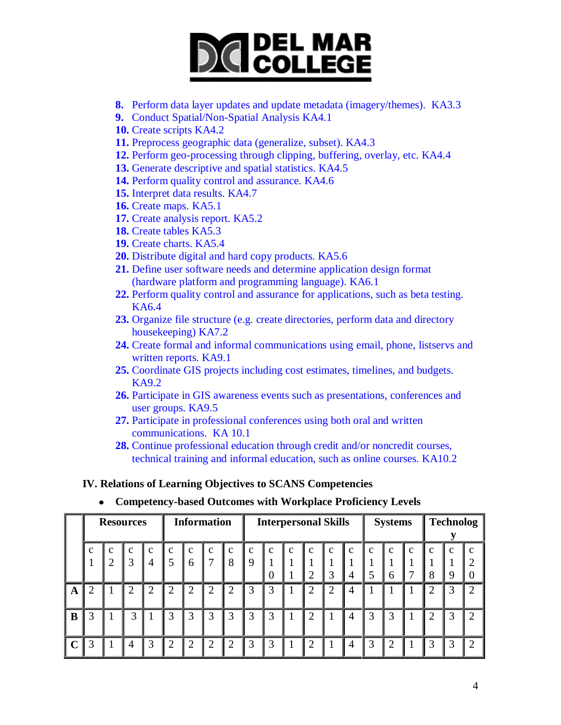### **DICI COLLEGE**

- **8.** Perform data layer updates and update metadata (imagery/themes). KA3.3
- **9.** Conduct Spatial/Non-Spatial Analysis KA4.1
- **10.** Create scripts KA4.2
- **11.** Preprocess geographic data (generalize, subset). KA4.3
- **12.** Perform geo-processing through clipping, buffering, overlay, etc. KA4.4
- **13.** Generate descriptive and spatial statistics. KA4.5
- **14.** Perform quality control and assurance. KA4.6
- **15.** Interpret data results. KA4.7
- **16.** Create maps. KA5.1
- **17.** Create analysis report. KA5.2
- **18.** Create tables KA5.3
- **19.** Create charts. KA5.4
- **20.** Distribute digital and hard copy products. KA5.6
- **21.** Define user software needs and determine application design format (hardware platform and programming language). KA6.1
- **22.** Perform quality control and assurance for applications, such as beta testing. KA6.4
- **23.** Organize file structure (e.g. create directories, perform data and directory housekeeping) KA7.2
- **24.** Create formal and informal communications using email, phone, listservs and written reports. KA9.1
- **25.** Coordinate GIS projects including cost estimates, timelines, and budgets. KA9.2
- **26.** Participate in GIS awareness events such as presentations, conferences and user groups. KA9.5
- **27.** Participate in professional conferences using both oral and written communications. KA 10.1
- **28.** Continue professional education through credit and/or noncredit courses, technical training and informal education, such as online courses. KA10.2

#### **IV. Relations of Learning Objectives to SCANS Competencies**

|             | <b>Resources</b> |                               |                   | <b>Information</b>             |                   |                  |                | <b>Interpersonal Skills</b> |        |              |                    |                   |                  |                  | <b>Systems</b>   |                   | <b>Technolog</b> |                   |                          |                                |
|-------------|------------------|-------------------------------|-------------------|--------------------------------|-------------------|------------------|----------------|-----------------------------|--------|--------------|--------------------|-------------------|------------------|------------------|------------------|-------------------|------------------|-------------------|--------------------------|--------------------------------|
|             | $\mathbf c$      | $\mathbf c$<br>$\overline{2}$ | $\mathbf{c}$<br>3 | $\mathbf{c}$<br>$\mathsf{I}$ 4 | $\mathbf{c}$<br>5 | $\mathbf c$<br>6 | c              | $\mathbf c$<br>8            | c<br>9 | $\mathbf{C}$ | $\mathbf{C}$<br>-1 | $\mathbf{c}$<br>◠ | $\mathbf c$<br>3 | $\mathbf c$<br>4 | $\mathbf c$<br>5 | $\mathbf{C}$<br>6 | c                | $\mathbf{C}$<br>8 | $\mathbf{c}$<br>$\Omega$ | $\mathbf{C}$<br>$\overline{0}$ |
| A           | $\overline{2}$   |                               | っ                 | $\overline{2}$                 | $\overline{2}$    | $\overline{2}$   | 2              |                             | 3      | 3            |                    | $\overline{2}$    | $\overline{2}$   | 4                |                  |                   |                  |                   |                          | $\overline{2}$                 |
| $\bf{B}$    | 3                |                               | 3                 |                                | $\overline{3}$    | 3                | 3              | 3                           | 3      | 3            |                    | $\overline{2}$    |                  | 4                | 3                | 3                 |                  | $\overline{2}$    | 3                        | $\overline{2}$                 |
| $\mathbf C$ | 3                |                               | 4                 | 3                              | $\overline{2}$    | $\overline{2}$   | $\overline{2}$ | റ                           | 3      | 3            |                    | $\overline{2}$    |                  | 4                | 3                | $\overline{2}$    |                  | 3                 | 3                        | $\overline{2}$                 |

**Competency-based Outcomes with Workplace Proficiency Levels**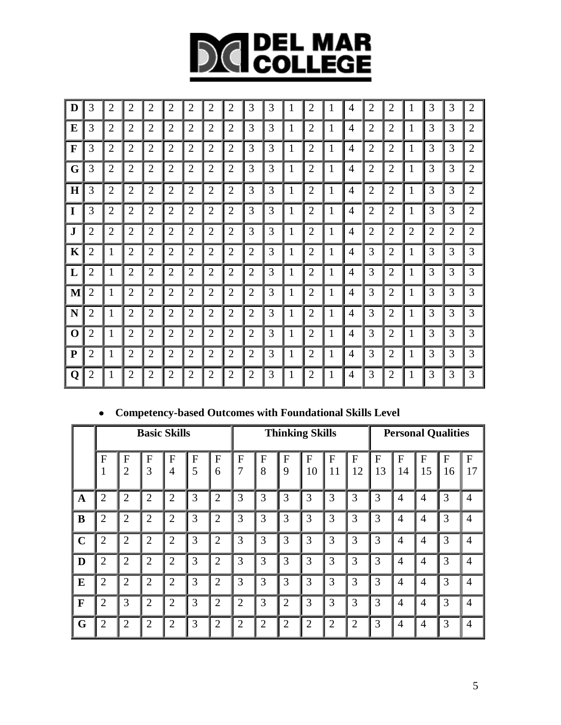# **DICIDEL MAR**

| D            | 3              | $\overline{2}$ | $\overline{2}$ | $\overline{2}$ | $\overline{2}$ | $\overline{2}$ | $\overline{2}$ | $\overline{2}$ | 3              | 3 | $\mathbf{1}$ | $\overline{2}$ | 1 | $\overline{4}$ | $\overline{2}$ | $\overline{2}$ |                | 3              | 3              | $\overline{2}$ |
|--------------|----------------|----------------|----------------|----------------|----------------|----------------|----------------|----------------|----------------|---|--------------|----------------|---|----------------|----------------|----------------|----------------|----------------|----------------|----------------|
| ${\bf E}$    | 3              | $\overline{2}$ | $\overline{2}$ | $\overline{2}$ | $\overline{2}$ | $\overline{2}$ | $\overline{2}$ | $\overline{2}$ | 3              | 3 | 1            | $\overline{2}$ | 1 | 4              | $\overline{2}$ | 2              | 1              | 3              | 3              | $\overline{2}$ |
| $\mathbf{F}$ | 3              | $\overline{2}$ | $\overline{c}$ | $\overline{c}$ | $\overline{2}$ | $\overline{2}$ | $\mathbf{2}$   | $\overline{2}$ | 3              | 3 | 1            | $\overline{2}$ | 1 | 4              | $\overline{2}$ | $\overline{2}$ | 1              | 3              | 3              | $\overline{2}$ |
| G            | 3              | $\overline{2}$ | $\overline{2}$ | $\overline{2}$ | $\overline{2}$ | $\overline{2}$ | $\overline{2}$ | $\overline{2}$ | 3              | 3 | $\mathbf{1}$ | $\overline{2}$ | 1 | 4              | $\overline{2}$ | $\overline{2}$ | 1              | 3              | 3              | $\overline{2}$ |
| H            | 3              | $\overline{c}$ | $\overline{2}$ | 2              | $\overline{2}$ | $\overline{2}$ | $\overline{2}$ | $\overline{2}$ | 3              | 3 | $\mathbf{1}$ | $\overline{2}$ | 1 | $\overline{4}$ | $\overline{2}$ | $\overline{c}$ | 1              | 3              | 3              | $\overline{2}$ |
| $\mathbf I$  | 3              | $\overline{2}$ | $\overline{2}$ | $\overline{2}$ | $\overline{2}$ | $\overline{2}$ | $\overline{2}$ | $\overline{2}$ | 3              | 3 | 1            | $\overline{2}$ | 1 | 4              | $\overline{2}$ | $\overline{2}$ | 1              | 3              | 3              | $\overline{2}$ |
| $\mathbf J$  | $\overline{2}$ | $\overline{2}$ | $\overline{2}$ | $\overline{2}$ | $\overline{2}$ | $\overline{2}$ | $\overline{2}$ | $\overline{2}$ | 3              | 3 | $\mathbf{1}$ | $\overline{2}$ | 1 | 4              | $\overline{2}$ | $\overline{2}$ | $\overline{2}$ | $\overline{2}$ | $\overline{2}$ | $\overline{2}$ |
| K            | $\overline{2}$ | 1              | $\overline{2}$ | $\overline{2}$ | $\overline{2}$ | $\overline{2}$ | $\overline{2}$ | $\overline{2}$ | 2              | 3 | 1            | $\overline{2}$ | 1 | 4              | 3              | 2              | 1              | 3              | 3              | 3              |
| L            | $\overline{2}$ | 1              | $\overline{2}$ | $\overline{2}$ | $\overline{2}$ | $\overline{2}$ | $\overline{2}$ | $\overline{2}$ | $\overline{2}$ | 3 | 1            | $\overline{2}$ | 1 | 4              | 3              | $\overline{c}$ | 1              | 3              | 3              | 3              |
| M            | $\overline{2}$ | 1              | $\overline{2}$ | 2              | $\mathbf{2}$   | $\overline{2}$ | $\overline{2}$ | $\overline{2}$ | 2              | 3 | 1            | $\overline{2}$ | 1 | 4              | 3              | $\overline{2}$ | 1              | 3              | 3              | 3              |
| N            | $\overline{2}$ | 1              | $\overline{2}$ | $\overline{2}$ | $\overline{2}$ | $\overline{2}$ | $\overline{2}$ | $\overline{2}$ | $\overline{2}$ | 3 | $\mathbf{1}$ | $\overline{2}$ | 1 | $\overline{4}$ | 3              | $\overline{2}$ | 1              | 3              | 3              | 3              |
| $\mathbf 0$  | $\overline{2}$ | 1              | $\overline{2}$ | 2              | $\overline{2}$ | $\overline{2}$ | $\overline{2}$ | $\overline{2}$ | $\overline{2}$ | 3 | $\mathbf{1}$ | $\overline{2}$ | 1 | 4              | 3              | 2              | 1              | 3              | 3              | 3              |
| $\mathbf{P}$ | $\overline{2}$ | 1              | $\overline{2}$ | $\overline{2}$ | $\overline{2}$ | $\overline{2}$ | $\overline{2}$ | $\overline{2}$ | $\overline{2}$ | 3 | $\mathbf{1}$ | $\overline{2}$ | 1 | 4              | 3              | $\overline{2}$ | 1              | 3              | 3              | 3              |
| Q            | $\overline{2}$ | 1              | $\overline{c}$ | $\overline{c}$ | $\overline{2}$ | $\mathbf{2}$   | $\overline{2}$ | $\overline{2}$ | 2              | 3 | 1            | $\overline{2}$ | 1 | 4              | 3              | $\overline{c}$ | 1              | 3              | 3              | 3              |

#### **Competency-based Outcomes with Foundational Skills Level**

|              |                |                     |                | <b>Basic Skills</b>            |                   |                |                     |                     |                | <b>Thinking Skills</b> | <b>Personal Qualities</b> |                |         |                      |                |         |                 |
|--------------|----------------|---------------------|----------------|--------------------------------|-------------------|----------------|---------------------|---------------------|----------------|------------------------|---------------------------|----------------|---------|----------------------|----------------|---------|-----------------|
|              | F              | F<br>$\overline{2}$ | F<br>3         | $\mathbf{F}$<br>$\overline{4}$ | $\mathbf{F}$<br>5 | F<br>6         | F<br>$\overline{7}$ | $\overline{F}$<br>8 | F<br>9         | $\mathbf F$<br>10      | F<br>11                   | F<br>12        | F<br>13 | $\overline{F}$<br>14 | F<br>15        | F<br>16 | ${\bf F}$<br>17 |
| $\mathbf A$  | $\overline{2}$ | $\overline{2}$      | $\overline{2}$ | $\overline{2}$                 | 3                 | $\overline{2}$ | 3                   | 3                   | 3              | 3                      | 3                         | 3              | 3       | $\overline{4}$       | $\overline{4}$ | 3       | $\overline{4}$  |
| B            | $\overline{2}$ | $\overline{2}$      | $\overline{2}$ | $\overline{2}$                 | 3                 | $\overline{2}$ | 3                   | 3                   | 3              | 3                      | 3                         | 3              | 3       | $\overline{4}$       | $\overline{4}$ | 3       | $\overline{4}$  |
| $\mathbf C$  | $\overline{2}$ | $\overline{2}$      | $\overline{2}$ | $\overline{2}$                 | 3                 | $\overline{2}$ | 3                   | 3                   | 3              | 3                      | 3                         | 3              | 3       | $\overline{4}$       | $\overline{4}$ | 3       | $\overline{4}$  |
| D            | $\overline{2}$ | $\overline{2}$      | $\overline{2}$ | 2                              | 3                 | $\overline{2}$ | 3                   | 3                   | 3              | 3                      | 3                         | 3              | 3       | $\overline{4}$       | 4              | 3       | $\overline{4}$  |
| $\bf{E}$     | $\overline{2}$ | $\overline{2}$      | $\overline{2}$ | $\overline{2}$                 | 3                 | $\overline{2}$ | 3                   | 3                   | 3              | 3                      | 3                         | 3              | 3       | 4                    | 4              | 3       | $\overline{4}$  |
| $\mathbf{F}$ | $\overline{2}$ | 3                   | $\overline{2}$ | $\overline{2}$                 | 3                 | $\overline{2}$ | $\overline{2}$      | 3                   | $\overline{2}$ | 3                      | 3                         | 3              | 3       | $\overline{4}$       | 4              | 3       | $\overline{4}$  |
| G            | $\overline{2}$ | $\overline{2}$      | $\overline{2}$ | $\overline{2}$                 | 3                 | $\overline{2}$ | $\overline{2}$      | $\overline{2}$      | $\overline{2}$ | $\overline{2}$         | 2                         | $\overline{2}$ | 3       | $\overline{4}$       | 4              | 3       | $\overline{4}$  |